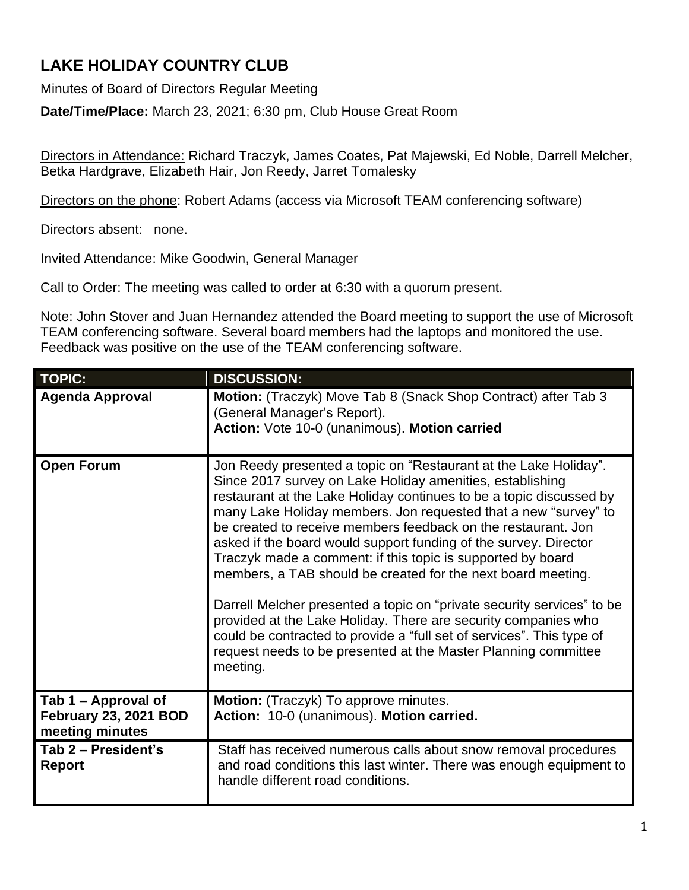## **LAKE HOLIDAY COUNTRY CLUB**

Minutes of Board of Directors Regular Meeting

**Date/Time/Place:** March 23, 2021; 6:30 pm, Club House Great Room

Directors in Attendance: Richard Traczyk, James Coates, Pat Majewski, Ed Noble, Darrell Melcher, Betka Hardgrave, Elizabeth Hair, Jon Reedy, Jarret Tomalesky

Directors on the phone: Robert Adams (access via Microsoft TEAM conferencing software)

Directors absent: none.

Invited Attendance: Mike Goodwin, General Manager

Call to Order: The meeting was called to order at 6:30 with a quorum present.

Note: John Stover and Juan Hernandez attended the Board meeting to support the use of Microsoft TEAM conferencing software. Several board members had the laptops and monitored the use. Feedback was positive on the use of the TEAM conferencing software.

| <b>TOPIC:</b>                                                   | <b>DISCUSSION:</b>                                                                                                                                                                                                                                                                                                                                                                                                                                                                                                                                                                                                                                                                                                                                                                                                                             |
|-----------------------------------------------------------------|------------------------------------------------------------------------------------------------------------------------------------------------------------------------------------------------------------------------------------------------------------------------------------------------------------------------------------------------------------------------------------------------------------------------------------------------------------------------------------------------------------------------------------------------------------------------------------------------------------------------------------------------------------------------------------------------------------------------------------------------------------------------------------------------------------------------------------------------|
| <b>Agenda Approval</b>                                          | Motion: (Traczyk) Move Tab 8 (Snack Shop Contract) after Tab 3<br>(General Manager's Report).<br>Action: Vote 10-0 (unanimous). Motion carried                                                                                                                                                                                                                                                                                                                                                                                                                                                                                                                                                                                                                                                                                                 |
| <b>Open Forum</b>                                               | Jon Reedy presented a topic on "Restaurant at the Lake Holiday".<br>Since 2017 survey on Lake Holiday amenities, establishing<br>restaurant at the Lake Holiday continues to be a topic discussed by<br>many Lake Holiday members. Jon requested that a new "survey" to<br>be created to receive members feedback on the restaurant. Jon<br>asked if the board would support funding of the survey. Director<br>Traczyk made a comment: if this topic is supported by board<br>members, a TAB should be created for the next board meeting.<br>Darrell Melcher presented a topic on "private security services" to be<br>provided at the Lake Holiday. There are security companies who<br>could be contracted to provide a "full set of services". This type of<br>request needs to be presented at the Master Planning committee<br>meeting. |
| Tab 1 – Approval of<br>February 23, 2021 BOD<br>meeting minutes | <b>Motion:</b> (Traczyk) To approve minutes.<br>Action: 10-0 (unanimous). Motion carried.                                                                                                                                                                                                                                                                                                                                                                                                                                                                                                                                                                                                                                                                                                                                                      |
| Tab 2 - President's<br><b>Report</b>                            | Staff has received numerous calls about snow removal procedures<br>and road conditions this last winter. There was enough equipment to<br>handle different road conditions.                                                                                                                                                                                                                                                                                                                                                                                                                                                                                                                                                                                                                                                                    |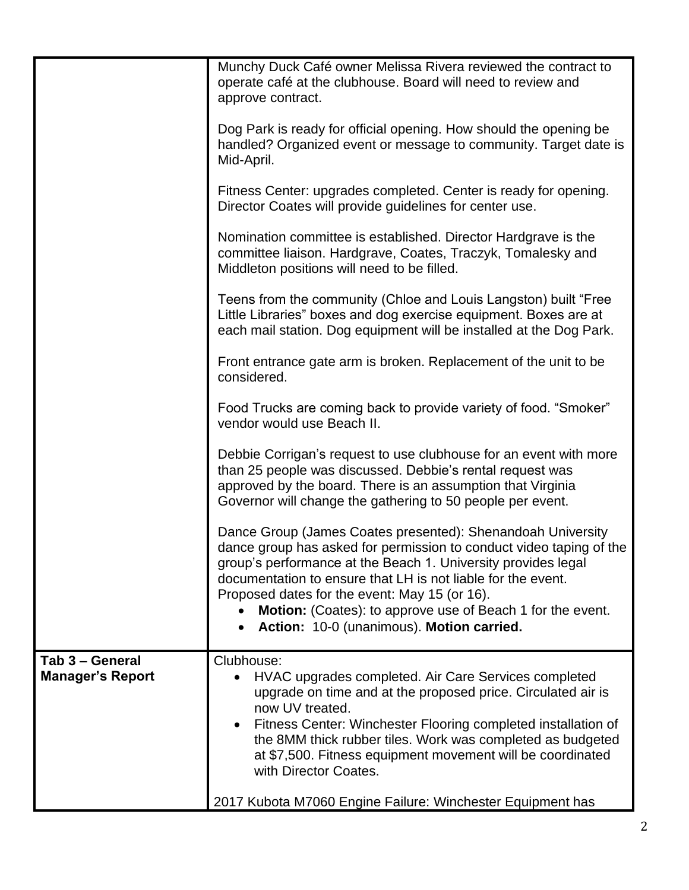| Tab 3 - General<br><b>Manager's Report</b> | Action: 10-0 (unanimous). Motion carried.<br>Clubhouse:<br>HVAC upgrades completed. Air Care Services completed<br>upgrade on time and at the proposed price. Circulated air is<br>now UV treated.<br>Fitness Center: Winchester Flooring completed installation of<br>$\bullet$<br>the 8MM thick rubber tiles. Work was completed as budgeted<br>at \$7,500. Fitness equipment movement will be coordinated<br>with Director Coates.<br>2017 Kubota M7060 Engine Failure: Winchester Equipment has                                                                                                                                                                                    |
|--------------------------------------------|----------------------------------------------------------------------------------------------------------------------------------------------------------------------------------------------------------------------------------------------------------------------------------------------------------------------------------------------------------------------------------------------------------------------------------------------------------------------------------------------------------------------------------------------------------------------------------------------------------------------------------------------------------------------------------------|
|                                            | vendor would use Beach II.<br>Debbie Corrigan's request to use clubhouse for an event with more<br>than 25 people was discussed. Debbie's rental request was<br>approved by the board. There is an assumption that Virginia<br>Governor will change the gathering to 50 people per event.<br>Dance Group (James Coates presented): Shenandoah University<br>dance group has asked for permission to conduct video taping of the<br>group's performance at the Beach 1. University provides legal<br>documentation to ensure that LH is not liable for the event.<br>Proposed dates for the event: May 15 (or 16).<br><b>Motion:</b> (Coates): to approve use of Beach 1 for the event. |
|                                            | Little Libraries" boxes and dog exercise equipment. Boxes are at<br>each mail station. Dog equipment will be installed at the Dog Park.<br>Front entrance gate arm is broken. Replacement of the unit to be<br>considered.<br>Food Trucks are coming back to provide variety of food. "Smoker"                                                                                                                                                                                                                                                                                                                                                                                         |
|                                            | Nomination committee is established. Director Hardgrave is the<br>committee liaison. Hardgrave, Coates, Traczyk, Tomalesky and<br>Middleton positions will need to be filled.<br>Teens from the community (Chloe and Louis Langston) built "Free                                                                                                                                                                                                                                                                                                                                                                                                                                       |
|                                            | handled? Organized event or message to community. Target date is<br>Mid-April.<br>Fitness Center: upgrades completed. Center is ready for opening.<br>Director Coates will provide guidelines for center use.                                                                                                                                                                                                                                                                                                                                                                                                                                                                          |
|                                            | Munchy Duck Café owner Melissa Rivera reviewed the contract to<br>operate café at the clubhouse. Board will need to review and<br>approve contract.<br>Dog Park is ready for official opening. How should the opening be                                                                                                                                                                                                                                                                                                                                                                                                                                                               |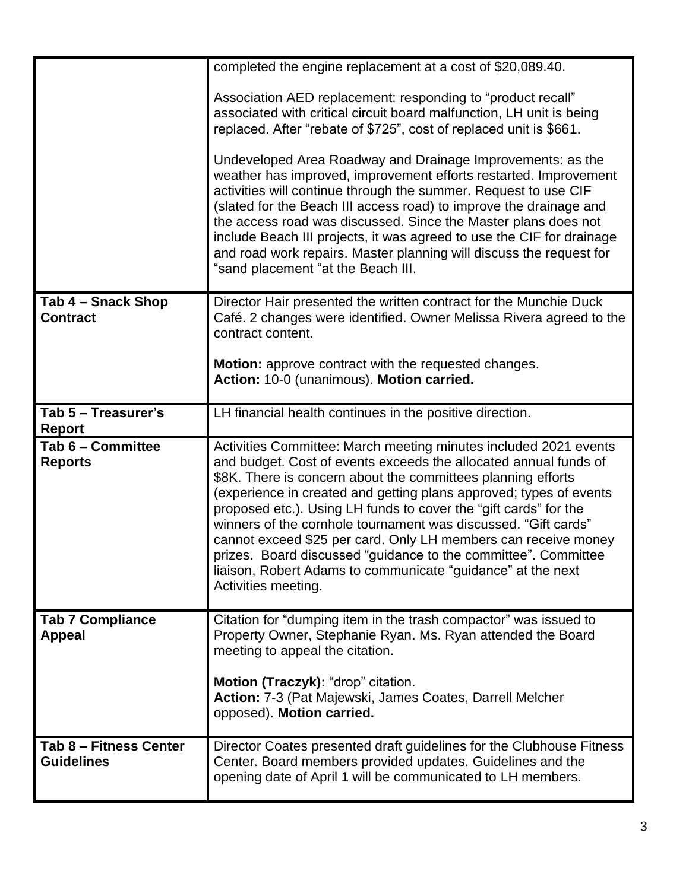|                                             | completed the engine replacement at a cost of \$20,089.40.                                                                                                                                                                                                                                                                                                                                                                                                                                                                                                                                                                                 |
|---------------------------------------------|--------------------------------------------------------------------------------------------------------------------------------------------------------------------------------------------------------------------------------------------------------------------------------------------------------------------------------------------------------------------------------------------------------------------------------------------------------------------------------------------------------------------------------------------------------------------------------------------------------------------------------------------|
|                                             | Association AED replacement: responding to "product recall"<br>associated with critical circuit board malfunction, LH unit is being<br>replaced. After "rebate of \$725", cost of replaced unit is \$661.                                                                                                                                                                                                                                                                                                                                                                                                                                  |
|                                             | Undeveloped Area Roadway and Drainage Improvements: as the<br>weather has improved, improvement efforts restarted. Improvement<br>activities will continue through the summer. Request to use CIF<br>(slated for the Beach III access road) to improve the drainage and<br>the access road was discussed. Since the Master plans does not<br>include Beach III projects, it was agreed to use the CIF for drainage<br>and road work repairs. Master planning will discuss the request for<br>"sand placement "at the Beach III.                                                                                                            |
| Tab 4 - Snack Shop<br><b>Contract</b>       | Director Hair presented the written contract for the Munchie Duck<br>Café. 2 changes were identified. Owner Melissa Rivera agreed to the<br>contract content.                                                                                                                                                                                                                                                                                                                                                                                                                                                                              |
|                                             | <b>Motion:</b> approve contract with the requested changes.<br>Action: 10-0 (unanimous). Motion carried.                                                                                                                                                                                                                                                                                                                                                                                                                                                                                                                                   |
| Tab 5 - Treasurer's<br><b>Report</b>        | LH financial health continues in the positive direction.                                                                                                                                                                                                                                                                                                                                                                                                                                                                                                                                                                                   |
| Tab 6 - Committee<br><b>Reports</b>         | Activities Committee: March meeting minutes included 2021 events<br>and budget. Cost of events exceeds the allocated annual funds of<br>\$8K. There is concern about the committees planning efforts<br>(experience in created and getting plans approved; types of events<br>proposed etc.). Using LH funds to cover the "gift cards" for the<br>winners of the cornhole tournament was discussed. "Gift cards"<br>cannot exceed \$25 per card. Only LH members can receive money<br>prizes. Board discussed "guidance to the committee". Committee<br>liaison, Robert Adams to communicate "guidance" at the next<br>Activities meeting. |
| <b>Tab 7 Compliance</b><br><b>Appeal</b>    | Citation for "dumping item in the trash compactor" was issued to<br>Property Owner, Stephanie Ryan. Ms. Ryan attended the Board<br>meeting to appeal the citation.                                                                                                                                                                                                                                                                                                                                                                                                                                                                         |
|                                             | Motion (Traczyk): "drop" citation.<br>Action: 7-3 (Pat Majewski, James Coates, Darrell Melcher<br>opposed). Motion carried.                                                                                                                                                                                                                                                                                                                                                                                                                                                                                                                |
| Tab 8 - Fitness Center<br><b>Guidelines</b> | Director Coates presented draft guidelines for the Clubhouse Fitness<br>Center. Board members provided updates. Guidelines and the<br>opening date of April 1 will be communicated to LH members.                                                                                                                                                                                                                                                                                                                                                                                                                                          |